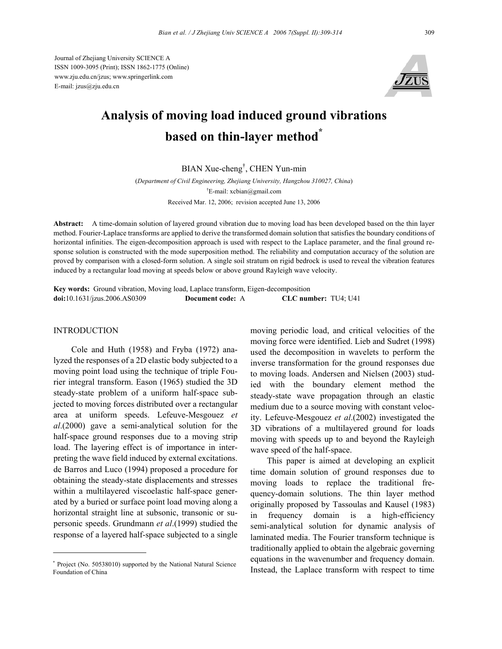Journal of Zhejiang University SCIENCE A ISSN 1009-3095 (Print); ISSN 1862-1775 (Online) www.zju.edu.cn/jzus; www.springerlink.com E-mail: jzus@zju.edu.cn



# **Analysis of moving load induced ground vibrations based on thin-layer method\***

BIAN Xue-cheng† , CHEN Yun-min

(*Department of Civil Engineering, Zhejiang University, Hangzhou 310027, China*) † E-mail: xcbian@gmail.com Received Mar. 12, 2006; revision accepted June 13, 2006

**Abstract:** A time-domain solution of layered ground vibration due to moving load has been developed based on the thin layer method. Fourier-Laplace transforms are applied to derive the transformed domain solution that satisfies the boundary conditions of horizontal infinities. The eigen-decomposition approach is used with respect to the Laplace parameter, and the final ground response solution is constructed with the mode superposition method. The reliability and computation accuracy of the solution are proved by comparison with a closed-form solution. A single soil stratum on rigid bedrock is used to reveal the vibration features induced by a rectangular load moving at speeds below or above ground Rayleigh wave velocity.

**Key words:** Ground vibration, Moving load, Laplace transform, Eigen-decomposition **doi:**10.1631/jzus.2006.AS0309 **Document code:** A **CLC number:** TU4; U41

# **INTRODUCTION**

Cole and Huth (1958) and Fryba (1972) analyzed the responses of a 2D elastic body subjected to a moving point load using the technique of triple Fourier integral transform. Eason (1965) studied the 3D steady-state problem of a uniform half-space subjected to moving forces distributed over a rectangular area at uniform speeds. Lefeuve-Mesgouez *et al*.(2000) gave a semi-analytical solution for the half-space ground responses due to a moving strip load. The layering effect is of importance in interpreting the wave field induced by external excitations. de Barros and Luco (1994) proposed a procedure for obtaining the steady-state displacements and stresses within a multilayered viscoelastic half-space generated by a buried or surface point load moving along a horizontal straight line at subsonic, transonic or supersonic speeds. Grundmann *et al*.(1999) studied the response of a layered half-space subjected to a single

moving periodic load, and critical velocities of the moving force were identified. Lieb and Sudret (1998) used the decomposition in wavelets to perform the inverse transformation for the ground responses due to moving loads. Andersen and Nielsen (2003) studied with the boundary element method the steady-state wave propagation through an elastic medium due to a source moving with constant velocity. Lefeuve-Mesgouez *et al*.(2002) investigated the 3D vibrations of a multilayered ground for loads moving with speeds up to and beyond the Rayleigh wave speed of the half-space.

This paper is aimed at developing an explicit time domain solution of ground responses due to moving loads to replace the traditional frequency-domain solutions. The thin layer method originally proposed by Tassoulas and Kausel (1983) in frequency domain is a high-efficiency semi-analytical solution for dynamic analysis of laminated media. The Fourier transform technique is traditionally applied to obtain the algebraic governing equations in the wavenumber and frequency domain. Instead, the Laplace transform with respect to time

<sup>\*</sup> Project (No. 50538010) supported by the National Natural Science Foundation of China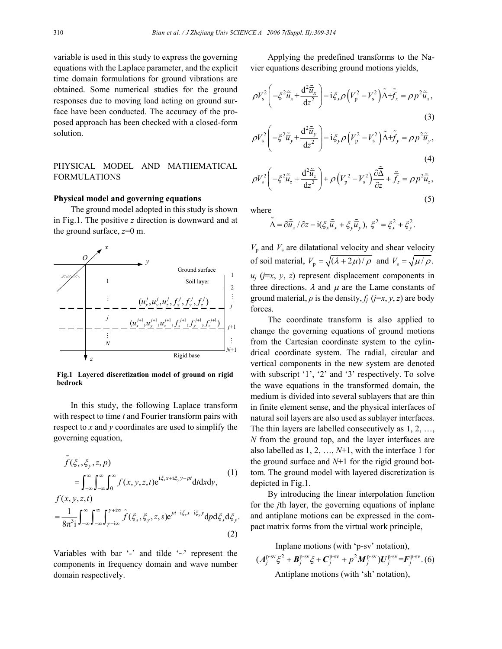variable is used in this study to express the governing equations with the Laplace parameter, and the explicit time domain formulations for ground vibrations are obtained. Some numerical studies for the ground responses due to moving load acting on ground surface have been conducted. The accuracy of the proposed approach has been checked with a closed-form solution.

# PHYSICAL MODEL AND MATHEMATICAL FORMULATIONS

## **Physical model and governing equations**

The ground model adopted in this study is shown in Fig.1. The positive *z* direction is downward and at the ground surface, *z*=0 m.



**Fig.1 Layered discretization model of ground on rigid bedrock**

In this study, the following Laplace transform with respect to time *t* and Fourier transform pairs with respect to *x* and *y* coordinates are used to simplify the governing equation,

$$
\tilde{\overline{f}}(\xi_x, \xi_y, z, p) = \int_{-\infty}^{\infty} \int_{-\infty}^{\infty} \int_{0}^{\infty} f(x, y, z, t) e^{i\xi_x x + i\xi_y y - pt} dt dx dy,
$$
\n(1)  
\n
$$
f(x, y, z, t) = \frac{1}{8\pi^3 i} \int_{-\infty}^{\infty} \int_{-\infty}^{\infty} \int_{\gamma - i\infty}^{\infty} \tilde{f}(\xi_x, \xi_y, z, s) e^{pt - i\xi_x x - i\xi_y y} dp d\xi_x d\xi_y.
$$
\n(2)

Variables with bar '-' and tilde ' $\sim$ ' represent the components in frequency domain and wave number domain respectively.

Applying the predefined transforms to the Navier equations describing ground motions yields,

$$
\rho V_s^2 \left( -\xi^2 \tilde{\overline{u}}_x + \frac{d^2 \tilde{\overline{u}}_x}{dz^2} \right) - i \xi_x \rho \left( V_p^2 - V_s^2 \right) \tilde{\overline{\Delta}} + \tilde{\overline{f}}_x = \rho p^2 \tilde{\overline{u}}_x,
$$
\n(3)

$$
\rho V_s^2 \left( -\xi^2 \tilde{\tilde{u}}_y + \frac{d^2 \tilde{\tilde{u}}_y}{dz^2} \right) - i \xi_y \rho \left( V_p^2 - V_s^2 \right) \tilde{\tilde{\Delta}} + \tilde{\tilde{f}}_y = \rho p^2 \tilde{\tilde{u}}_y,
$$
\n(4)

$$
\rho V_s^2 \left( -\xi^2 \tilde{\tilde{u}}_z + \frac{d^2 \tilde{\tilde{u}}_z}{dz^2} \right) + \rho \left( V_p^2 - V_s^2 \right) \frac{\partial \tilde{\tilde{\Delta}}}{\partial z} + \tilde{f}_z = \rho p^2 \tilde{\tilde{u}}_z,
$$
\n(5)

where

$$
\widetilde{\overline{\Delta}} = \partial \widetilde{\overline{u}}_z / \partial z - i(\xi_x \widetilde{\overline{u}}_x + \xi_y \widetilde{\overline{u}}_y), \xi^2 = \xi_x^2 + \xi_y^2.
$$

 $V_p$  and  $V_s$  are dilatational velocity and shear velocity of soil material,  $V_p = \sqrt{(\lambda + 2\mu)/\rho}$  and  $V_s = \sqrt{\mu/\rho}$ .  $u_i$  ( $j=x$ ,  $y$ ,  $z$ ) represent displacement components in three directions.  $\lambda$  and  $\mu$  are the Lame constants of ground material,  $\rho$  is the density,  $f_i$  ( $j=x, y, z$ ) are body forces.

The coordinate transform is also applied to change the governing equations of ground motions from the Cartesian coordinate system to the cylindrical coordinate system. The radial, circular and vertical components in the new system are denoted with subscript '1', '2' and '3' respectively. To solve the wave equations in the transformed domain, the medium is divided into several sublayers that are thin in finite element sense, and the physical interfaces of natural soil layers are also used as sublayer interfaces. The thin layers are labelled consecutively as 1, 2, …, *N* from the ground top, and the layer interfaces are also labelled as 1, 2, …, *N*+1, with the interface 1 for the ground surface and  $N+1$  for the rigid ground bottom. The ground model with layered discretization is depicted in Fig.1.

By introducing the linear interpolation function for the *j*th layer, the governing equations of inplane and antiplane motions can be expressed in the compact matrix forms from the virtual work principle,

Inplane motions (with 'p-sv' notation),  $(A_j^{\text{p-sv}} \xi^2 + B_j^{\text{p-sv}} \xi + C_j^{\text{p-sv}} + p^2 M_j^{\text{p-sv}}) U_j^{\text{p-sv}} = F_j^{\text{p-sv}}.$  (6) Antiplane motions (with 'sh' notation),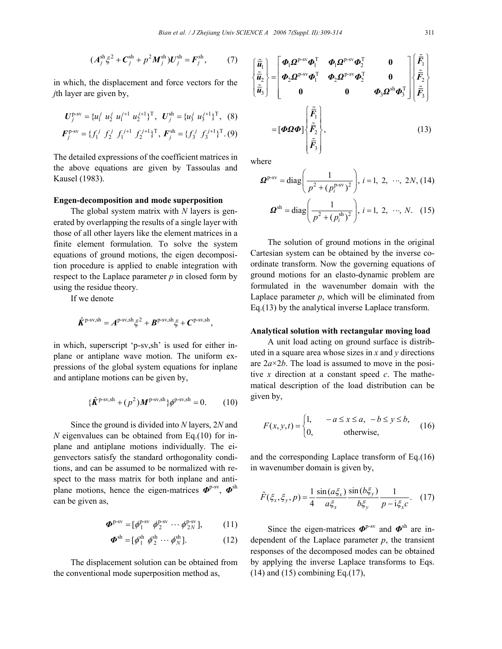$$
(A_j^{\rm sh}\xi^2 + C_j^{\rm sh} + p^2M_j^{\rm sh})U_j^{\rm sh} = F_j^{\rm sh},\qquad(7)
$$

in which, the displacement and force vectors for the *j*th layer are given by,

$$
U_j^{\text{p-sv}} = \{u_1^j \ u_2^j \ u_1^{j+1} \ u_2^{j+1}\}^{\text{T}}, \ U_j^{\text{sh}} = \{u_3^j \ u_3^{j+1}\}^{\text{T}}, \ (8)
$$
\n
$$
E_j^{\text{p-sv}} = \{f^j \ f^j \ f^j + f^j \ f^j \ u_j^{\text{T}} = E_j^{\text{sh}} - \{f^j \ f^j \}^{\text{T}} \ (0)
$$

$$
\boldsymbol{F}_{j}^{\text{p-sv}} = \{ f_{1}^{j} \hspace{0.15cm} f_{2}^{j} \hspace{0.15cm} f_{1}^{j+1} \hspace{0.15cm} f_{2}^{j+1} \}^{\text{T}}, \hspace{0.15cm} \boldsymbol{F}_{j}^{\text{sh}} = \{ f_{3}^{j} \hspace{0.15cm} f_{3}^{j+1} \}^{\text{T}}. \hspace{0.1cm} (9)
$$

The detailed expressions of the coefficient matrices in the above equations are given by Tassoulas and Kausel (1983).

#### **Engen-decomposition and mode superposition**

The global system matrix with *N* layers is generated by overlapping the results of a single layer with those of all other layers like the element matrices in a finite element formulation. To solve the system equations of ground motions, the eigen decomposition procedure is applied to enable integration with respect to the Laplace parameter *p* in closed form by using the residue theory.

If we denote

$$
\hat{\boldsymbol{K}}^{p\text{-sv,sh}} = \boldsymbol{A}^{p\text{-sv,sh}} \boldsymbol{\xi}^2 + \boldsymbol{B}^{p\text{-sv,sh}} \boldsymbol{\xi} + \boldsymbol{C}^{p\text{-sv,sh}},
$$

in which, superscript 'p-sv,sh' is used for either inplane or antiplane wave motion. The uniform expressions of the global system equations for inplane and antiplane motions can be given by,

$$
\{\hat{\pmb{K}}^{\text{p-sv},sh} + (p^2)\pmb{M}^{\text{p-sv},sh}\}\phi^{\text{p-sv},sh} = 0. \qquad (10)
$$

Since the ground is divided into *N* layers, 2*N* and *N* eigenvalues can be obtained from Eq.(10) for inplane and antiplane motions individually. The eigenvectors satisfy the standard orthogonality conditions, and can be assumed to be normalized with respect to the mass matrix for both inplane and antiplane motions, hence the eigen-matrices *Φ*p-sv, *Φ*sh can be given as,

$$
\boldsymbol{\Phi}^{\text{p-sv}} = [\phi_1^{\text{p-sv}} \ \phi_2^{\text{p-sv}} \ \cdots \ \phi_{2N}^{\text{p-sv}}],\tag{11}
$$

$$
\boldsymbol{\Phi}^{\text{sh}} = [\phi_1^{\text{sh}} \ \phi_2^{\text{sh}} \ \cdots \ \phi_N^{\text{sh}}]. \tag{12}
$$

The displacement solution can be obtained from the conventional mode superposition method as,

$$
\begin{aligned}\n\begin{bmatrix}\n\tilde{\vec{u}}_1 \\
\tilde{\vec{u}}_2 \\
\tilde{\vec{u}}_3\n\end{bmatrix} &= \begin{bmatrix}\n\boldsymbol{\Phi}_1 \boldsymbol{\Omega}^{p\text{-sv}} \boldsymbol{\Phi}_1^{\text{T}} & \boldsymbol{\Phi}_1 \boldsymbol{\Omega}^{p\text{-sv}} \boldsymbol{\Phi}_2^{\text{T}} & \mathbf{0} \\
\boldsymbol{\Phi}_2 \boldsymbol{\Omega}^{p\text{-sv}} \boldsymbol{\Phi}_1^{\text{T}} & \boldsymbol{\Phi}_2 \boldsymbol{\Omega}^{p\text{-sv}} \boldsymbol{\Phi}_2^{\text{T}} & \mathbf{0} \\
\mathbf{0} & \mathbf{0} & \boldsymbol{\Phi}_3 \boldsymbol{\Omega}^{sh} \boldsymbol{\Phi}_3^{\text{T}}\end{bmatrix}\n\begin{bmatrix}\n\tilde{\vec{F}}_1 \\
\tilde{\vec{F}}_2 \\
\tilde{\vec{F}}_3\n\end{bmatrix} \\
&= [\boldsymbol{\Phi} \boldsymbol{\Omega} \boldsymbol{\Phi}] \begin{bmatrix}\n\tilde{\vec{F}}_1 \\
\tilde{\vec{F}}_2 \\
\tilde{\vec{F}}_3\n\end{bmatrix},\n\end{aligned} \tag{13}
$$

where

$$
\boldsymbol{\Omega}^{\text{p-sv}} = \text{diag}\left(\frac{1}{p^2 + (p_i^{\text{p-sv}})^2}\right), i = 1, 2, \cdots, 2N, (14)
$$

$$
\boldsymbol{\Omega}^{\text{sh}} = \text{diag}\left(\frac{1}{p^2 + (p_i^{\text{sh}})^2}\right), i = 1, 2, \cdots, N. \quad (15)
$$

The solution of ground motions in the original Cartesian system can be obtained by the inverse coordinate transform. Now the governing equations of ground motions for an elasto-dynamic problem are formulated in the wavenumber domain with the Laplace parameter  $p$ , which will be eliminated from Eq.(13) by the analytical inverse Laplace transform.

# **Analytical solution with rectangular moving load**

A unit load acting on ground surface is distributed in a square area whose sizes in *x* and *y* directions are 2*a*×2*b*. The load is assumed to move in the positive *x* direction at a constant speed *c*. The mathematical description of the load distribution can be given by,

$$
F(x, y, t) = \begin{cases} 1, & -a \le x \le a, \ -b \le y \le b, \\ 0, & \text{otherwise,} \end{cases}
$$
 (16)

and the corresponding Laplace transform of Eq.(16) in wavenumber domain is given by,

$$
\tilde{F}(\xi_x, \xi_y, p) = \frac{1}{4} \frac{\sin(a\xi_x)}{a\xi_x} \frac{\sin(b\xi_y)}{b\xi_y} \frac{1}{p - i\xi_x c}.
$$
 (17)

Since the eigen-matrices  $\boldsymbol{\Phi}^{p-sv}$  and  $\boldsymbol{\Phi}^{sh}$  are independent of the Laplace parameter  $p$ , the transient responses of the decomposed modes can be obtained by applying the inverse Laplace transforms to Eqs. (14) and (15) combining Eq.(17),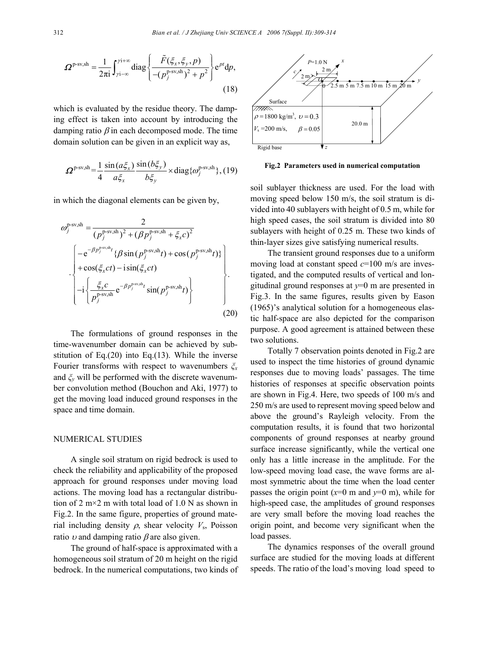$$
\boldsymbol{\Omega}^{\text{p-sv,sh}} = \frac{1}{2\pi i} \int_{\gamma i - \infty}^{\gamma i + \infty} \text{diag}\left\{ \frac{\tilde{F}(\xi_x, \xi_y, p)}{-(p_j^{\text{p-sv,sh}})^2 + p^2} \right\} e^{pt} dp,
$$
\n(18)

which is evaluated by the residue theory. The damping effect is taken into account by introducing the damping ratio  $\beta$  in each decomposed mode. The time domain solution can be given in an explicit way as,

$$
\Omega^{\text{p-sv,sh}} = \frac{1}{4} \frac{\sin(a\xi_x)}{a\xi_x} \frac{\sin(b\xi_y)}{b\xi_y} \times \text{diag}\{\omega_j^{\text{p-sv,sh}}\}, (19)
$$

in which the diagonal elements can be given by,

$$
\omega_j^{\text{p-sv,sh}} = \frac{2}{(p_j^{\text{p-sv,sh}})^2 + (\beta p_j^{\text{p-sv,sh}} + \xi_x c)^2}
$$
\n
$$
\begin{bmatrix}\n-e^{-\beta p_j^{\text{p-sv,sh}}t} \{\beta \sin(p_j^{\text{p-sv,sh}}t) + \cos(p_j^{\text{p-sv,sh}}t)\} \\
+\cos(\xi_x ct) - i \sin(\xi_x ct) \\
-i \left\{\frac{\xi_x c}{p_j^{\text{p-sv,sh}}} e^{-\beta p_j^{\text{p-sv,sh}}t} \sin(p_j^{\text{p-sv,sh}}t)\right\}\n\end{bmatrix}.
$$
\n(20)

The formulations of ground responses in the time-wavenumber domain can be achieved by substitution of Eq. $(20)$  into Eq. $(13)$ . While the inverse Fourier transforms with respect to wavenumbers *ξ<sup>x</sup>* and *ξy* will be performed with the discrete wavenumber convolution method (Bouchon and Aki, 1977) to get the moving load induced ground responses in the space and time domain.

#### NUMERICAL STUDIES

A single soil stratum on rigid bedrock is used to check the reliability and applicability of the proposed approach for ground responses under moving load actions. The moving load has a rectangular distribution of 2 m $\times$ 2 m with total load of 1.0 N as shown in Fig.2. In the same figure, properties of ground material including density  $\rho$ , shear velocity  $V_s$ , Poisson ratio  $\nu$  and damping ratio  $\beta$  are also given.

The ground of half-space is approximated with a homogeneous soil stratum of 20 m height on the rigid bedrock. In the numerical computations, two kinds of



**Fig.2 Parameters used in numerical computation**

soil sublayer thickness are used. For the load with moving speed below 150 m/s, the soil stratum is divided into 40 sublayers with height of 0.5 m, while for high speed cases, the soil stratum is divided into 80 sublayers with height of 0.25 m. These two kinds of thin-layer sizes give satisfying numerical results.

The transient ground responses due to a uniform moving load at constant speed *c*=100 m/s are investigated, and the computed results of vertical and longitudinal ground responses at *y*=0 m are presented in Fig.3. In the same figures, results given by Eason (1965)'s analytical solution for a homogeneous elastic half-space are also depicted for the comparison purpose. A good agreement is attained between these two solutions.

Totally 7 observation points denoted in Fig.2 are used to inspect the time histories of ground dynamic responses due to moving loads' passages. The time histories of responses at specific observation points are shown in Fig.4. Here, two speeds of 100 m/s and 250 m/s are used to represent moving speed below and above the ground's Rayleigh velocity. From the computation results, it is found that two horizontal components of ground responses at nearby ground surface increase significantly, while the vertical one only has a little increase in the amplitude. For the low-speed moving load case, the wave forms are almost symmetric about the time when the load center passes the origin point  $(x=0 \text{ m and } y=0 \text{ m})$ , while for high-speed case, the amplitudes of ground responses are very small before the moving load reaches the origin point, and become very significant when the load passes.

The dynamics responses of the overall ground surface are studied for the moving loads at different speeds. The ratio of the load's moving load speed to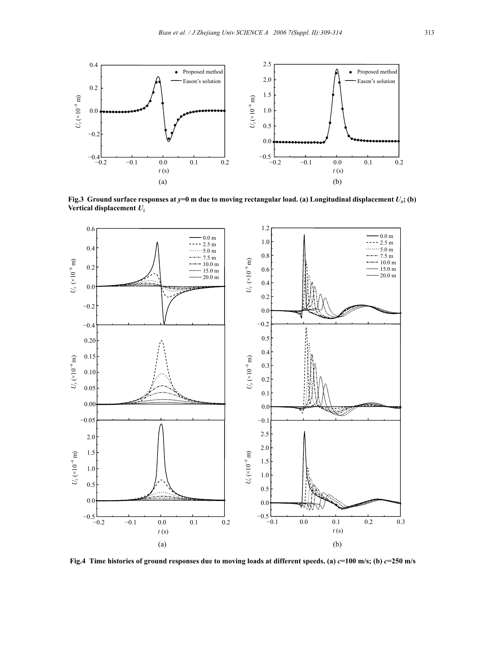

**Fig.3 Ground surface responses at** *y***=0 m due to moving rectangular load. (a) Longitudinal displacement** *Ux***; (b) Vertical displacement** *Uz*



**Fig.4** Time histories of ground responses due to moving loads at different speeds. (a)  $c=100$  m/s; (b)  $c=250$  m/s